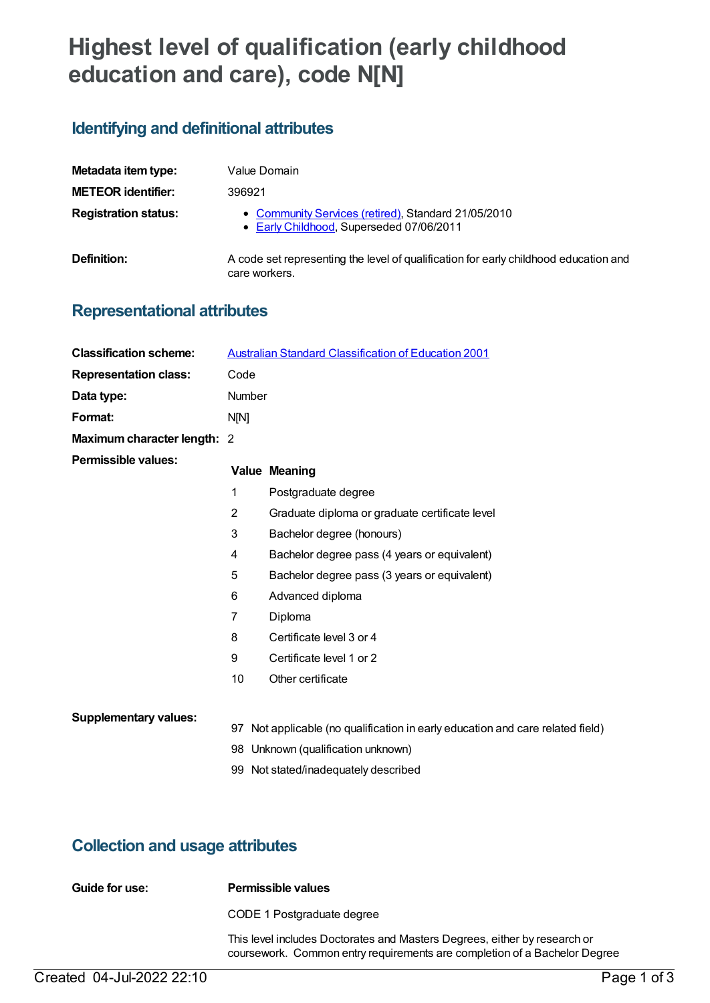# **Highest level of qualification (early childhood education and care), code N[N]**

### **Identifying and definitional attributes**

| Metadata item type:         | Value Domain                                                                                          |
|-----------------------------|-------------------------------------------------------------------------------------------------------|
| <b>METEOR identifier:</b>   | 396921                                                                                                |
| <b>Registration status:</b> | • Community Services (retired), Standard 21/05/2010<br>• Early Childhood, Superseded 07/06/2011       |
| Definition:                 | A code set representing the level of qualification for early childhood education and<br>care workers. |

## **Representational attributes**

| <b>Classification scheme:</b> | <b>Australian Standard Classification of Education 2001</b>                    |                                                |  |
|-------------------------------|--------------------------------------------------------------------------------|------------------------------------------------|--|
| <b>Representation class:</b>  | Code                                                                           |                                                |  |
| Data type:                    | Number                                                                         |                                                |  |
| Format:                       | N[N]                                                                           |                                                |  |
| Maximum character length: 2   |                                                                                |                                                |  |
| <b>Permissible values:</b>    |                                                                                | <b>Value Meaning</b>                           |  |
|                               | 1                                                                              | Postgraduate degree                            |  |
|                               | 2                                                                              | Graduate diploma or graduate certificate level |  |
|                               | 3                                                                              | Bachelor degree (honours)                      |  |
|                               | 4                                                                              | Bachelor degree pass (4 years or equivalent)   |  |
|                               | 5                                                                              | Bachelor degree pass (3 years or equivalent)   |  |
|                               | 6                                                                              | Advanced diploma                               |  |
|                               | 7                                                                              | Diploma                                        |  |
|                               | 8                                                                              | Certificate level 3 or 4                       |  |
|                               | 9                                                                              | Certificate level 1 or 2                       |  |
|                               | 10                                                                             | Other certificate                              |  |
| <b>Supplementary values:</b>  |                                                                                |                                                |  |
|                               | 97 Not applicable (no qualification in early education and care related field) |                                                |  |
|                               |                                                                                | 98 Unknown (qualification unknown)             |  |
|                               |                                                                                | 99 Not stated/inadequately described           |  |

### **Collection and usage attributes**

| Guide for use: | Permissible values                                                                                                                                     |
|----------------|--------------------------------------------------------------------------------------------------------------------------------------------------------|
|                | CODE 1 Postgraduate degree                                                                                                                             |
|                | This level includes Doctorates and Masters Degrees, either by research or<br>coursework. Common entry requirements are completion of a Bachelor Degree |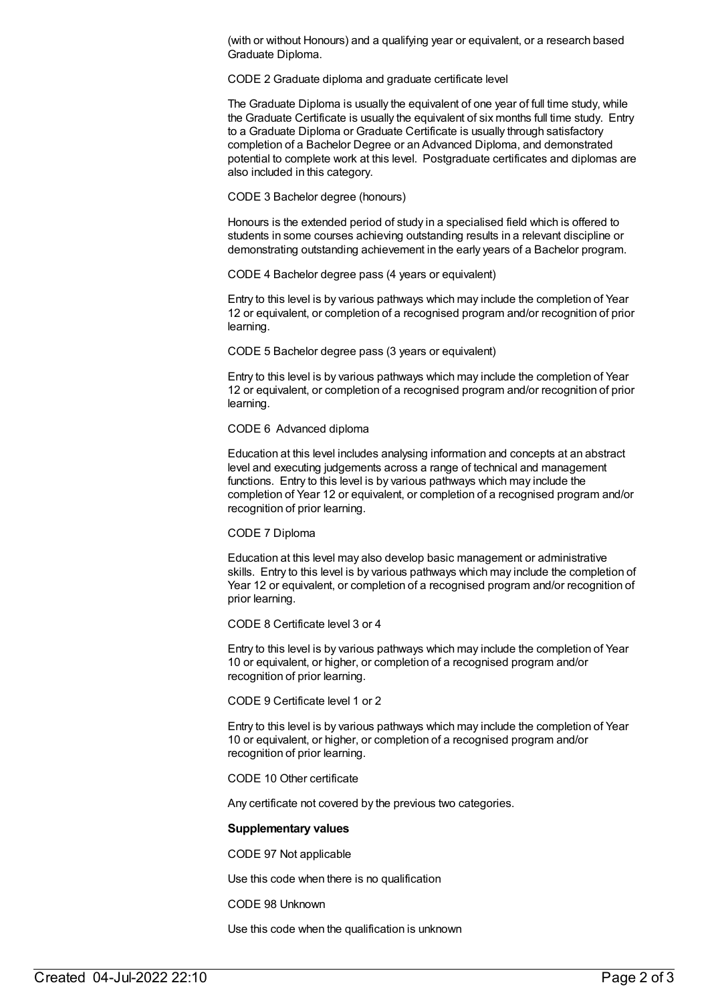(with or without Honours) and a qualifying year or equivalent, or a research based Graduate Diploma.

CODE 2 Graduate diploma and graduate certificate level

The Graduate Diploma is usually the equivalent of one year of full time study, while the Graduate Certificate is usually the equivalent of six months full time study. Entry to a Graduate Diploma or Graduate Certificate is usually through satisfactory completion of a Bachelor Degree or an Advanced Diploma, and demonstrated potential to complete work at this level. Postgraduate certificates and diplomas are also included in this category.

CODE 3 Bachelor degree (honours)

Honours is the extended period of study in a specialised field which is offered to students in some courses achieving outstanding results in a relevant discipline or demonstrating outstanding achievement in the early years of a Bachelor program.

CODE 4 Bachelor degree pass (4 years or equivalent)

Entry to this level is by various pathways which may include the completion of Year 12 or equivalent, or completion of a recognised program and/or recognition of prior learning.

CODE 5 Bachelor degree pass (3 years or equivalent)

Entry to this level is by various pathways which may include the completion of Year 12 or equivalent, or completion of a recognised program and/or recognition of prior learning.

CODE 6 Advanced diploma

Education at this level includes analysing information and concepts at an abstract level and executing judgements across a range of technical and management functions. Entry to this level is by various pathways which may include the completion of Year 12 or equivalent, or completion of a recognised program and/or recognition of prior learning.

CODE 7 Diploma

Education at this level may also develop basic management or administrative skills. Entry to this level is by various pathways which may include the completion of Year 12 or equivalent, or completion of a recognised program and/or recognition of prior learning.

CODE 8 Certificate level 3 or 4

Entry to this level is by various pathways which may include the completion of Year 10 or equivalent, or higher, or completion of a recognised program and/or recognition of prior learning.

CODE 9 Certificate level 1 or 2

Entry to this level is by various pathways which may include the completion of Year 10 or equivalent, or higher, or completion of a recognised program and/or recognition of prior learning.

CODE 10 Other certificate

Any certificate not covered by the previous two categories.

#### **Supplementary values**

CODE 97 Not applicable

Use this code when there is no qualification

CODE 98 Unknown

Use this code when the qualification is unknown